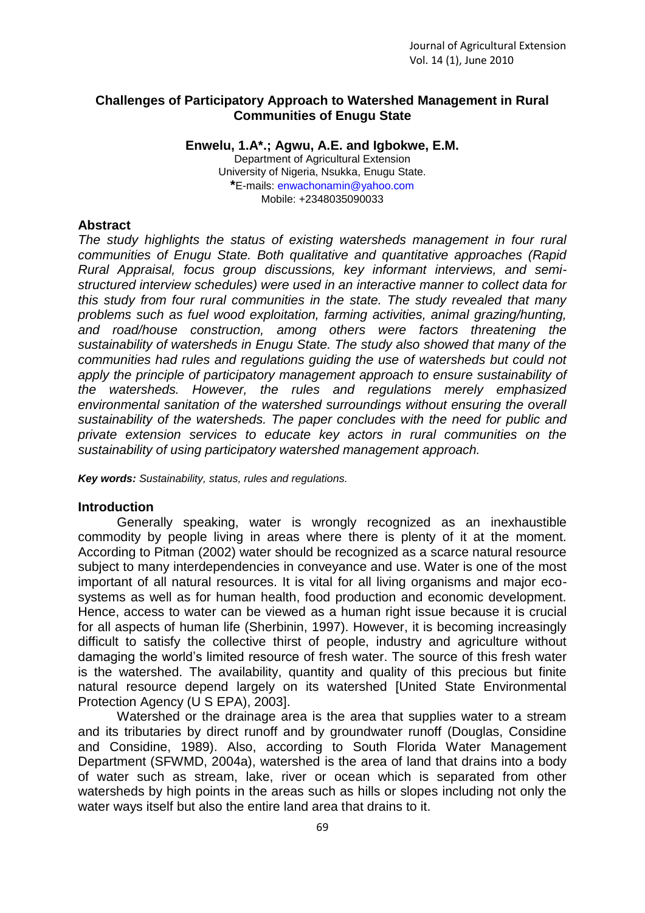## **Challenges of Participatory Approach to Watershed Management in Rural Communities of Enugu State**

**Enwelu, 1.A\*.; Agwu, A.E. and Igbokwe, E.M.** Department of Agricultural Extension University of Nigeria, Nsukka, Enugu State. **\***E-mails: enwachonamin@yahoo.com Mobile: +2348035090033

#### **Abstract**

*The study highlights the status of existing watersheds management in four rural communities of Enugu State. Both qualitative and quantitative approaches (Rapid Rural Appraisal, focus group discussions, key informant interviews, and semistructured interview schedules) were used in an interactive manner to collect data for this study from four rural communities in the state. The study revealed that many problems such as fuel wood exploitation, farming activities, animal grazing/hunting, and road/house construction, among others were factors threatening the sustainability of watersheds in Enugu State. The study also showed that many of the communities had rules and regulations guiding the use of watersheds but could not apply the principle of participatory management approach to ensure sustainability of the watersheds. However, the rules and regulations merely emphasized environmental sanitation of the watershed surroundings without ensuring the overall sustainability of the watersheds. The paper concludes with the need for public and private extension services to educate key actors in rural communities on the sustainability of using participatory watershed management approach.* 

*Key words: Sustainability, status, rules and regulations.*

#### **Introduction**

Generally speaking, water is wrongly recognized as an inexhaustible commodity by people living in areas where there is plenty of it at the moment. According to Pitman (2002) water should be recognized as a scarce natural resource subject to many interdependencies in conveyance and use. Water is one of the most important of all natural resources. It is vital for all living organisms and major ecosystems as well as for human health, food production and economic development. Hence, access to water can be viewed as a human right issue because it is crucial for all aspects of human life (Sherbinin, 1997). However, it is becoming increasingly difficult to satisfy the collective thirst of people, industry and agriculture without damaging the world's limited resource of fresh water. The source of this fresh water is the watershed. The availability, quantity and quality of this precious but finite natural resource depend largely on its watershed [United State Environmental Protection Agency (U S EPA), 2003].

Watershed or the drainage area is the area that supplies water to a stream and its tributaries by direct runoff and by groundwater runoff (Douglas, Considine and Considine, 1989). Also, according to South Florida Water Management Department (SFWMD, 2004a), watershed is the area of land that drains into a body of water such as stream, lake, river or ocean which is separated from other watersheds by high points in the areas such as hills or slopes including not only the water ways itself but also the entire land area that drains to it.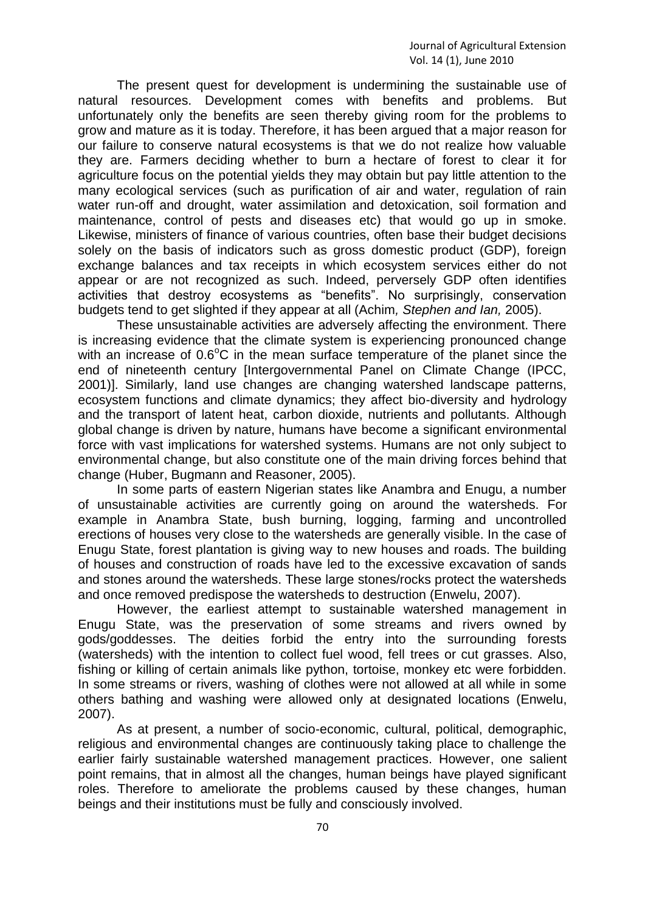The present quest for development is undermining the sustainable use of natural resources. Development comes with benefits and problems. But unfortunately only the benefits are seen thereby giving room for the problems to grow and mature as it is today. Therefore, it has been argued that a major reason for our failure to conserve natural ecosystems is that we do not realize how valuable they are. Farmers deciding whether to burn a hectare of forest to clear it for agriculture focus on the potential yields they may obtain but pay little attention to the many ecological services (such as purification of air and water, regulation of rain water run-off and drought, water assimilation and detoxication, soil formation and maintenance, control of pests and diseases etc) that would go up in smoke. Likewise, ministers of finance of various countries, often base their budget decisions solely on the basis of indicators such as gross domestic product (GDP), foreign exchange balances and tax receipts in which ecosystem services either do not appear or are not recognized as such. Indeed, perversely GDP often identifies activities that destroy ecosystems as "benefits". No surprisingly, conservation budgets tend to get slighted if they appear at all (Achim*, Stephen and Ian,* 2005).

These unsustainable activities are adversely affecting the environment. There is increasing evidence that the climate system is experiencing pronounced change with an increase of  $0.6^{\circ}$ C in the mean surface temperature of the planet since the end of nineteenth century [Intergovernmental Panel on Climate Change (IPCC, 2001)]. Similarly, land use changes are changing watershed landscape patterns, ecosystem functions and climate dynamics; they affect bio-diversity and hydrology and the transport of latent heat, carbon dioxide, nutrients and pollutants. Although global change is driven by nature, humans have become a significant environmental force with vast implications for watershed systems. Humans are not only subject to environmental change, but also constitute one of the main driving forces behind that change (Huber, Bugmann and Reasoner, 2005).

In some parts of eastern Nigerian states like Anambra and Enugu, a number of unsustainable activities are currently going on around the watersheds. For example in Anambra State, bush burning, logging, farming and uncontrolled erections of houses very close to the watersheds are generally visible. In the case of Enugu State, forest plantation is giving way to new houses and roads. The building of houses and construction of roads have led to the excessive excavation of sands and stones around the watersheds. These large stones/rocks protect the watersheds and once removed predispose the watersheds to destruction (Enwelu, 2007).

However, the earliest attempt to sustainable watershed management in Enugu State, was the preservation of some streams and rivers owned by gods/goddesses. The deities forbid the entry into the surrounding forests (watersheds) with the intention to collect fuel wood, fell trees or cut grasses. Also, fishing or killing of certain animals like python, tortoise, monkey etc were forbidden. In some streams or rivers, washing of clothes were not allowed at all while in some others bathing and washing were allowed only at designated locations (Enwelu, 2007).

As at present, a number of socio-economic, cultural, political, demographic, religious and environmental changes are continuously taking place to challenge the earlier fairly sustainable watershed management practices. However, one salient point remains, that in almost all the changes, human beings have played significant roles. Therefore to ameliorate the problems caused by these changes, human beings and their institutions must be fully and consciously involved.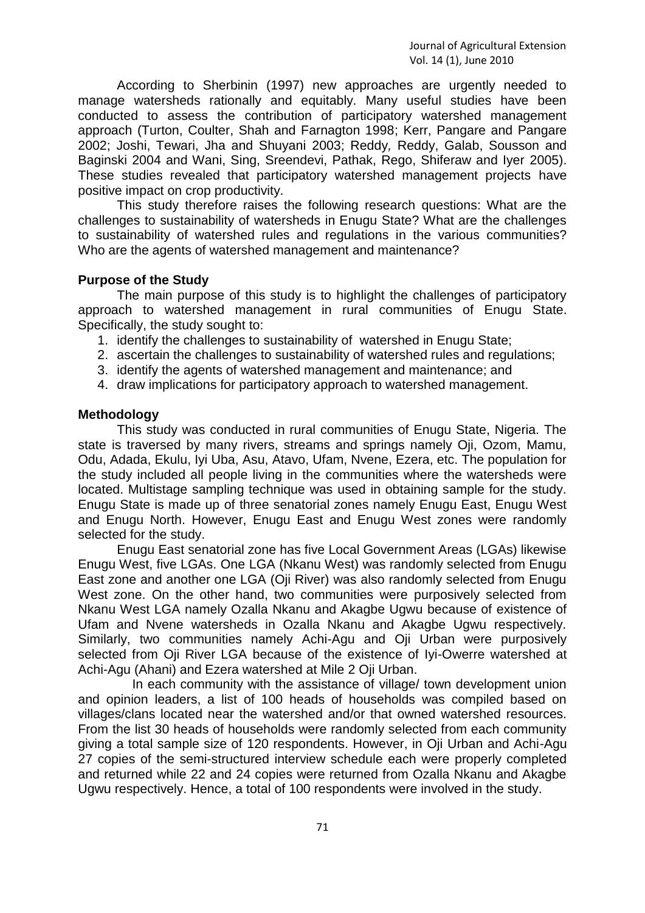According to Sherbinin (1997) new approaches are urgently needed to manage watersheds rationally and equitably. Many useful studies have been conducted to assess the contribution of participatory watershed management approach (Turton, Coulter, Shah and Farnagton 1998; Kerr, Pangare and Pangare 2002; Joshi, Tewari, Jha and Shuyani 2003; Reddy*,* Reddy, Galab, Sousson and Baginski 2004 and Wani, Sing, Sreendevi, Pathak, Rego, Shiferaw and Iyer 2005). These studies revealed that participatory watershed management projects have positive impact on crop productivity.

This study therefore raises the following research questions: What are the challenges to sustainability of watersheds in Enugu State? What are the challenges to sustainability of watershed rules and regulations in the various communities? Who are the agents of watershed management and maintenance?

## **Purpose of the Study**

The main purpose of this study is to highlight the challenges of participatory approach to watershed management in rural communities of Enugu State. Specifically, the study sought to:

- 1. identify the challenges to sustainability of watershed in Enugu State;
- 2. ascertain the challenges to sustainability of watershed rules and regulations;
- 3. identify the agents of watershed management and maintenance; and
- 4. draw implications for participatory approach to watershed management.

## **Methodology**

This study was conducted in rural communities of Enugu State, Nigeria. The state is traversed by many rivers, streams and springs namely Oji, Ozom, Mamu, Odu, Adada, Ekulu, Iyi Uba, Asu, Atavo, Ufam, Nvene, Ezera, etc. The population for the study included all people living in the communities where the watersheds were located. Multistage sampling technique was used in obtaining sample for the study. Enugu State is made up of three senatorial zones namely Enugu East, Enugu West and Enugu North. However, Enugu East and Enugu West zones were randomly selected for the study.

Enugu East senatorial zone has five Local Government Areas (LGAs) likewise Enugu West, five LGAs. One LGA (Nkanu West) was randomly selected from Enugu East zone and another one LGA (Oji River) was also randomly selected from Enugu West zone. On the other hand, two communities were purposively selected from Nkanu West LGA namely Ozalla Nkanu and Akagbe Ugwu because of existence of Ufam and Nvene watersheds in Ozalla Nkanu and Akagbe Ugwu respectively. Similarly, two communities namely Achi-Agu and Oji Urban were purposively selected from Oji River LGA because of the existence of Iyi-Owerre watershed at Achi-Agu (Ahani) and Ezera watershed at Mile 2 Oji Urban.

 In each community with the assistance of village/ town development union and opinion leaders, a list of 100 heads of households was compiled based on villages/clans located near the watershed and/or that owned watershed resources. From the list 30 heads of households were randomly selected from each community giving a total sample size of 120 respondents. However, in Oji Urban and Achi-Agu 27 copies of the semi-structured interview schedule each were properly completed and returned while 22 and 24 copies were returned from Ozalla Nkanu and Akagbe Ugwu respectively. Hence, a total of 100 respondents were involved in the study.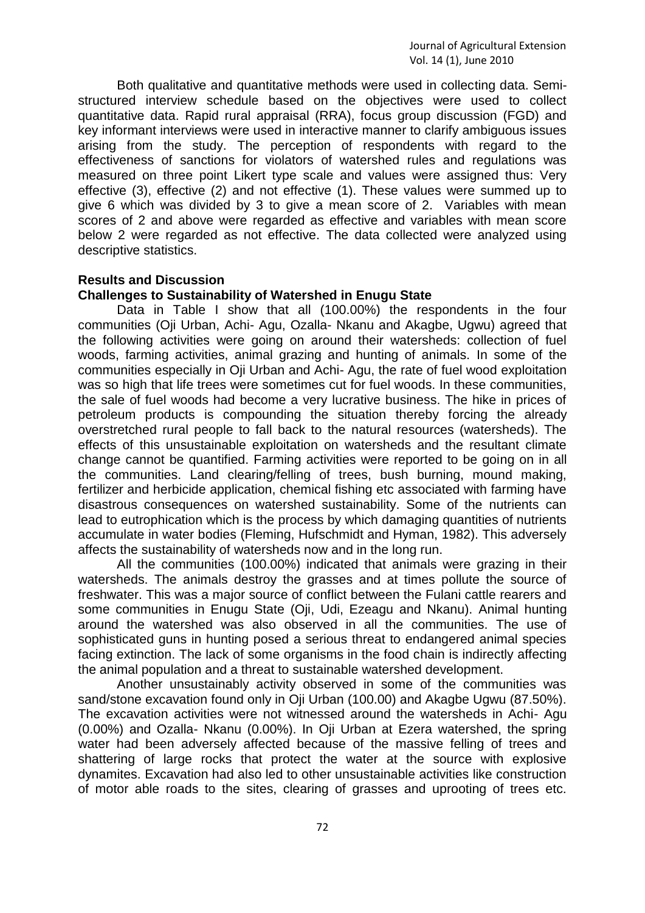Both qualitative and quantitative methods were used in collecting data. Semistructured interview schedule based on the objectives were used to collect quantitative data. Rapid rural appraisal (RRA), focus group discussion (FGD) and key informant interviews were used in interactive manner to clarify ambiguous issues arising from the study. The perception of respondents with regard to the effectiveness of sanctions for violators of watershed rules and regulations was measured on three point Likert type scale and values were assigned thus: Very effective (3), effective (2) and not effective (1). These values were summed up to give 6 which was divided by 3 to give a mean score of 2. Variables with mean scores of 2 and above were regarded as effective and variables with mean score below 2 were regarded as not effective. The data collected were analyzed using descriptive statistics.

## **Results and Discussion**

## **Challenges to Sustainability of Watershed in Enugu State**

Data in Table I show that all (100.00%) the respondents in the four communities (Oji Urban, Achi- Agu, Ozalla- Nkanu and Akagbe, Ugwu) agreed that the following activities were going on around their watersheds: collection of fuel woods, farming activities, animal grazing and hunting of animals. In some of the communities especially in Oji Urban and Achi- Agu, the rate of fuel wood exploitation was so high that life trees were sometimes cut for fuel woods. In these communities, the sale of fuel woods had become a very lucrative business. The hike in prices of petroleum products is compounding the situation thereby forcing the already overstretched rural people to fall back to the natural resources (watersheds). The effects of this unsustainable exploitation on watersheds and the resultant climate change cannot be quantified. Farming activities were reported to be going on in all the communities. Land clearing/felling of trees, bush burning, mound making, fertilizer and herbicide application, chemical fishing etc associated with farming have disastrous consequences on watershed sustainability. Some of the nutrients can lead to eutrophication which is the process by which damaging quantities of nutrients accumulate in water bodies (Fleming, Hufschmidt and Hyman, 1982). This adversely affects the sustainability of watersheds now and in the long run.

All the communities (100.00%) indicated that animals were grazing in their watersheds. The animals destroy the grasses and at times pollute the source of freshwater. This was a major source of conflict between the Fulani cattle rearers and some communities in Enugu State (Oji, Udi, Ezeagu and Nkanu). Animal hunting around the watershed was also observed in all the communities. The use of sophisticated guns in hunting posed a serious threat to endangered animal species facing extinction. The lack of some organisms in the food chain is indirectly affecting the animal population and a threat to sustainable watershed development.

Another unsustainably activity observed in some of the communities was sand/stone excavation found only in Oji Urban (100.00) and Akagbe Ugwu (87.50%). The excavation activities were not witnessed around the watersheds in Achi- Agu (0.00%) and Ozalla- Nkanu (0.00%). In Oji Urban at Ezera watershed, the spring water had been adversely affected because of the massive felling of trees and shattering of large rocks that protect the water at the source with explosive dynamites. Excavation had also led to other unsustainable activities like construction of motor able roads to the sites, clearing of grasses and uprooting of trees etc.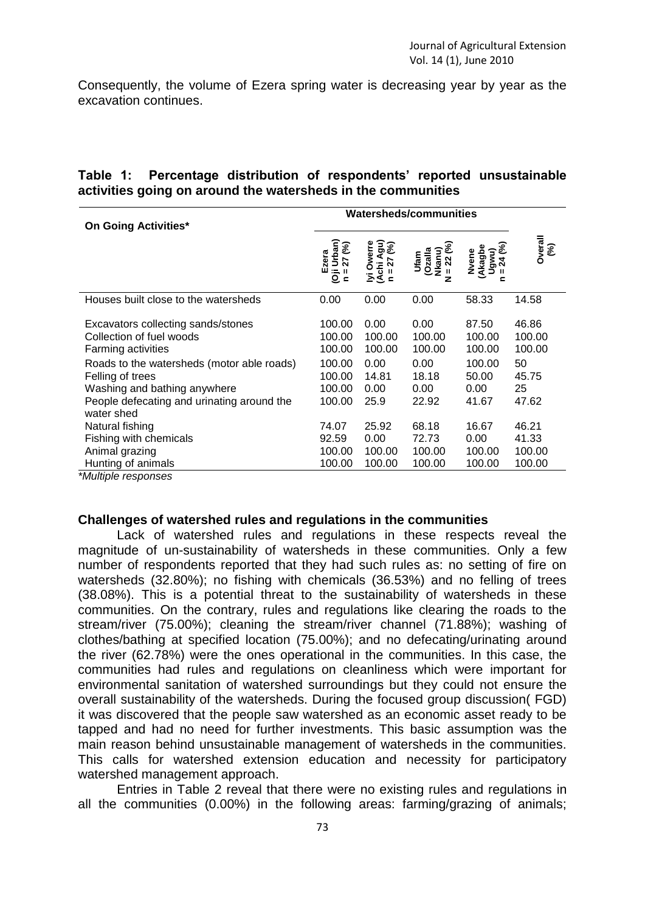Consequently, the volume of Ezera spring water is decreasing year by year as the excavation continues.

## **Table 1: Percentage distribution of respondents' reported unsustainable activities going on around the watersheds in the communities**

| <b>On Going Activities*</b>                                                                                                                                                                                                                        | <b>Watersheds/communities</b>                                      |                                                           |                                                            |                                                               |                                                         |
|----------------------------------------------------------------------------------------------------------------------------------------------------------------------------------------------------------------------------------------------------|--------------------------------------------------------------------|-----------------------------------------------------------|------------------------------------------------------------|---------------------------------------------------------------|---------------------------------------------------------|
|                                                                                                                                                                                                                                                    | Urban)<br>S<br>Ezera<br>5<br><u>୦</u><br>$\mathbf{r}$              | Owerre<br><b>Agu)</b><br>ឆ<br>Ξ<br>55c                    | શ્રી<br>Nkanu)<br>Ozalla<br>Ufam<br>22<br>z                | Akagbe<br>Nvene<br>า อี× ()<br>= รี่ ร<br>c                   | Overall<br>(%)                                          |
| Houses built close to the watersheds                                                                                                                                                                                                               | 0.00                                                               | 0.00                                                      | 0.00                                                       | 58.33                                                         | 14.58                                                   |
| Excavators collecting sands/stones<br>Collection of fuel woods<br>Farming activities<br>Roads to the watersheds (motor able roads)<br>Felling of trees<br>Washing and bathing anywhere<br>People defecating and urinating around the<br>water shed | 100.00<br>100.00<br>100.00<br>100.00<br>100.00<br>100.00<br>100.00 | 0.00<br>100.00<br>100.00<br>0.00<br>14.81<br>0.00<br>25.9 | 0.00<br>100.00<br>100.00<br>0.00<br>18.18<br>0.00<br>22.92 | 87.50<br>100.00<br>100.00<br>100.00<br>50.00<br>0.00<br>41.67 | 46.86<br>100.00<br>100.00<br>50<br>45.75<br>25<br>47.62 |
| Natural fishing                                                                                                                                                                                                                                    | 74.07                                                              | 25.92                                                     | 68.18                                                      | 16.67                                                         | 46.21                                                   |
| Fishing with chemicals<br>Animal grazing<br>Hunting of animals                                                                                                                                                                                     | 92.59<br>100.00<br>100.00                                          | 0.00<br>100.00<br>100.00                                  | 72.73<br>100.00<br>100.00                                  | 0.00<br>100.00<br>100.00                                      | 41.33<br>100.00<br>100.00                               |
| *Multiple responses                                                                                                                                                                                                                                |                                                                    |                                                           |                                                            |                                                               |                                                         |

# **Challenges of watershed rules and regulations in the communities**

Lack of watershed rules and regulations in these respects reveal the magnitude of un-sustainability of watersheds in these communities. Only a few number of respondents reported that they had such rules as: no setting of fire on watersheds (32.80%); no fishing with chemicals (36.53%) and no felling of trees (38.08%). This is a potential threat to the sustainability of watersheds in these communities. On the contrary, rules and regulations like clearing the roads to the stream/river (75.00%); cleaning the stream/river channel (71.88%); washing of clothes/bathing at specified location (75.00%); and no defecating/urinating around the river (62.78%) were the ones operational in the communities. In this case, the communities had rules and regulations on cleanliness which were important for environmental sanitation of watershed surroundings but they could not ensure the overall sustainability of the watersheds. During the focused group discussion( FGD) it was discovered that the people saw watershed as an economic asset ready to be tapped and had no need for further investments. This basic assumption was the main reason behind unsustainable management of watersheds in the communities. This calls for watershed extension education and necessity for participatory watershed management approach.

Entries in Table 2 reveal that there were no existing rules and regulations in all the communities (0.00%) in the following areas: farming/grazing of animals;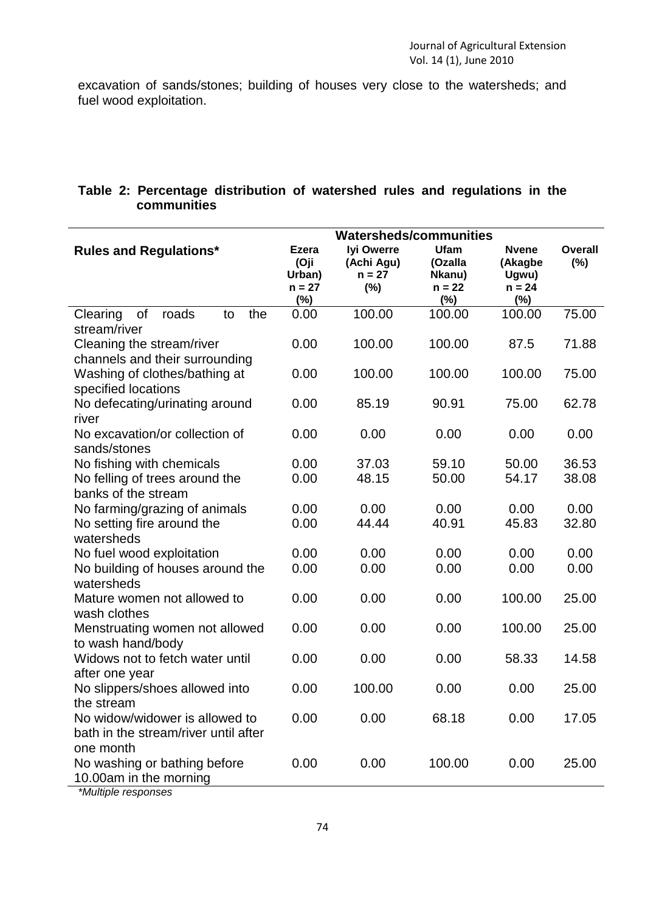excavation of sands/stones; building of houses very close to the watersheds; and fuel wood exploitation.

## **Table 2: Percentage distribution of watershed rules and regulations in the communities**

|                                                                             | <b>Watersheds/communities</b>                        |                                             |                                              |                                                     |                       |  |  |
|-----------------------------------------------------------------------------|------------------------------------------------------|---------------------------------------------|----------------------------------------------|-----------------------------------------------------|-----------------------|--|--|
| <b>Rules and Regulations*</b>                                               | <b>Ezera</b><br>(Oji<br>Urban)<br>$n = 27$<br>$(\%)$ | lyi Owerre<br>(Achi Agu)<br>$n = 27$<br>(%) | Ufam<br>(Ozalla<br>Nkanu)<br>$n = 22$<br>(%) | <b>Nvene</b><br>(Akagbe<br>Ugwu)<br>$n = 24$<br>(%) | <b>Overall</b><br>(%) |  |  |
| of<br>roads<br>the<br>Clearing<br>to                                        | 0.00                                                 | 100.00                                      | 100.00                                       | 100.00                                              | 75.00                 |  |  |
| stream/river<br>Cleaning the stream/river<br>channels and their surrounding | 0.00                                                 | 100.00                                      | 100.00                                       | 87.5                                                | 71.88                 |  |  |
| Washing of clothes/bathing at                                               | 0.00                                                 | 100.00                                      | 100.00                                       | 100.00                                              | 75.00                 |  |  |
| specified locations<br>No defecating/urinating around<br>river              | 0.00                                                 | 85.19                                       | 90.91                                        | 75.00                                               | 62.78                 |  |  |
| No excavation/or collection of                                              | 0.00                                                 | 0.00                                        | 0.00                                         | 0.00                                                | 0.00                  |  |  |
| sands/stones                                                                |                                                      |                                             |                                              |                                                     |                       |  |  |
| No fishing with chemicals                                                   | 0.00                                                 | 37.03                                       | 59.10                                        | 50.00                                               | 36.53                 |  |  |
| No felling of trees around the                                              | 0.00                                                 | 48.15                                       | 50.00                                        | 54.17                                               | 38.08                 |  |  |
| banks of the stream                                                         |                                                      |                                             |                                              |                                                     |                       |  |  |
| No farming/grazing of animals                                               | 0.00                                                 | 0.00                                        | 0.00                                         | 0.00                                                | 0.00                  |  |  |
| No setting fire around the<br>watersheds                                    | 0.00                                                 | 44.44                                       | 40.91                                        | 45.83                                               | 32.80                 |  |  |
| No fuel wood exploitation                                                   | 0.00                                                 | 0.00                                        | 0.00                                         | 0.00                                                | 0.00                  |  |  |
| No building of houses around the                                            | 0.00                                                 | 0.00                                        | 0.00                                         | 0.00                                                | 0.00                  |  |  |
| watersheds                                                                  |                                                      |                                             |                                              |                                                     |                       |  |  |
| Mature women not allowed to<br>wash clothes                                 | 0.00                                                 | 0.00                                        | 0.00                                         | 100.00                                              | 25.00                 |  |  |
| Menstruating women not allowed                                              | 0.00                                                 | 0.00                                        | 0.00                                         | 100.00                                              | 25.00                 |  |  |
| to wash hand/body                                                           |                                                      |                                             |                                              |                                                     |                       |  |  |
| Widows not to fetch water until                                             | 0.00                                                 | 0.00                                        | 0.00                                         | 58.33                                               | 14.58                 |  |  |
| after one year                                                              |                                                      |                                             |                                              |                                                     |                       |  |  |
| No slippers/shoes allowed into<br>the stream                                | 0.00                                                 | 100.00                                      | 0.00                                         | 0.00                                                | 25.00                 |  |  |
| No widow/widower is allowed to                                              | 0.00                                                 | 0.00                                        | 68.18                                        | 0.00                                                | 17.05                 |  |  |
| bath in the stream/river until after                                        |                                                      |                                             |                                              |                                                     |                       |  |  |
| one month                                                                   |                                                      |                                             |                                              |                                                     |                       |  |  |
| No washing or bathing before                                                | 0.00                                                 | 0.00                                        | 100.00                                       | 0.00                                                | 25.00                 |  |  |
| 10.00am in the morning                                                      |                                                      |                                             |                                              |                                                     |                       |  |  |
| *Multiple responses                                                         |                                                      |                                             |                                              |                                                     |                       |  |  |

*\*Multiple responses*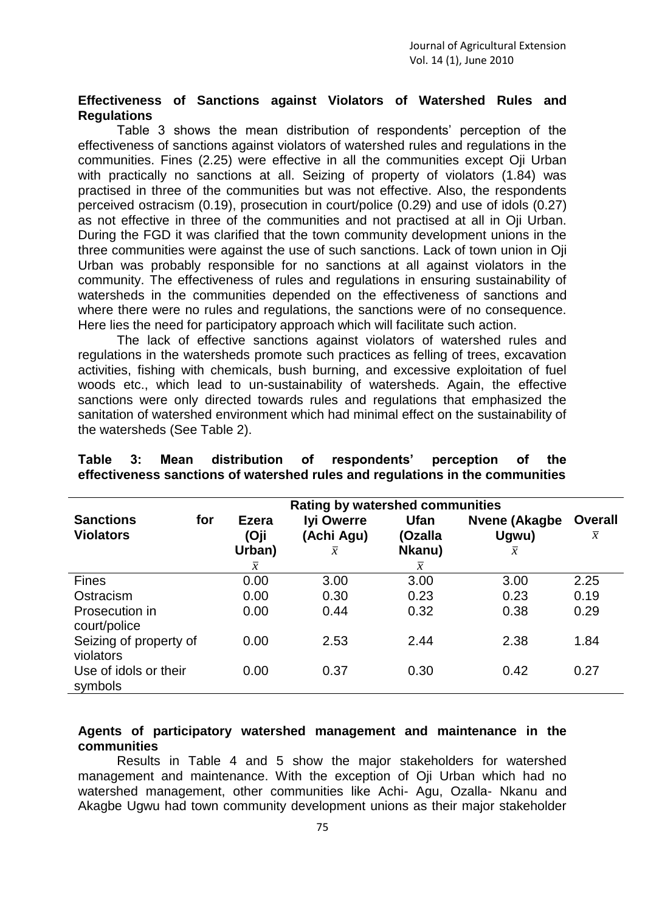## **Effectiveness of Sanctions against Violators of Watershed Rules and Regulations**

Table 3 shows the mean distribution of respondents' perception of the effectiveness of sanctions against violators of watershed rules and regulations in the communities. Fines (2.25) were effective in all the communities except Oji Urban with practically no sanctions at all. Seizing of property of violators (1.84) was practised in three of the communities but was not effective. Also, the respondents perceived ostracism (0.19), prosecution in court/police (0.29) and use of idols (0.27) as not effective in three of the communities and not practised at all in Oji Urban. During the FGD it was clarified that the town community development unions in the three communities were against the use of such sanctions. Lack of town union in Oji Urban was probably responsible for no sanctions at all against violators in the community. The effectiveness of rules and regulations in ensuring sustainability of watersheds in the communities depended on the effectiveness of sanctions and where there were no rules and regulations, the sanctions were of no consequence. Here lies the need for participatory approach which will facilitate such action.

The lack of effective sanctions against violators of watershed rules and regulations in the watersheds promote such practices as felling of trees, excavation activities, fishing with chemicals, bush burning, and excessive exploitation of fuel woods etc., which lead to un-sustainability of watersheds. Again, the effective sanctions were only directed towards rules and regulations that emphasized the sanitation of watershed environment which had minimal effect on the sustainability of the watersheds (See Table 2).

|                                      |     | <b>Rating by watershed communities</b>          |  |                                                   |  |                                                   |  |                                                  |                                 |
|--------------------------------------|-----|-------------------------------------------------|--|---------------------------------------------------|--|---------------------------------------------------|--|--------------------------------------------------|---------------------------------|
| <b>Sanctions</b><br><b>Violators</b> | for | <b>Ezera</b><br>(Oji<br>Urban)<br>$\mathcal{X}$ |  | <b>Iyi Owerre</b><br>(Achi Agu)<br>$\overline{x}$ |  | <b>Ufan</b><br>(Ozalla<br>Nkanu)<br>$\mathcal{X}$ |  | <b>Nvene (Akagbe)</b><br>Ugwu)<br>$\overline{x}$ | <b>Overall</b><br>$\mathcal{X}$ |
| <b>Fines</b>                         |     | 0.00                                            |  | 3.00                                              |  | 3.00                                              |  | 3.00                                             | 2.25                            |
| Ostracism                            |     | 0.00                                            |  | 0.30                                              |  | 0.23                                              |  | 0.23                                             | 0.19                            |
| Prosecution in<br>court/police       |     | 0.00                                            |  | 0.44                                              |  | 0.32                                              |  | 0.38                                             | 0.29                            |
| Seizing of property of<br>violators  |     | 0.00                                            |  | 2.53                                              |  | 2.44                                              |  | 2.38                                             | 1.84                            |
| Use of idols or their<br>symbols     |     | 0.00                                            |  | 0.37                                              |  | 0.30                                              |  | 0.42                                             | 0.27                            |

**Table 3: Mean distribution of respondents' perception of the effectiveness sanctions of watershed rules and regulations in the communities** 

## **Agents of participatory watershed management and maintenance in the communities**

Results in Table 4 and 5 show the major stakeholders for watershed management and maintenance. With the exception of Oji Urban which had no watershed management, other communities like Achi- Agu, Ozalla- Nkanu and Akagbe Ugwu had town community development unions as their major stakeholder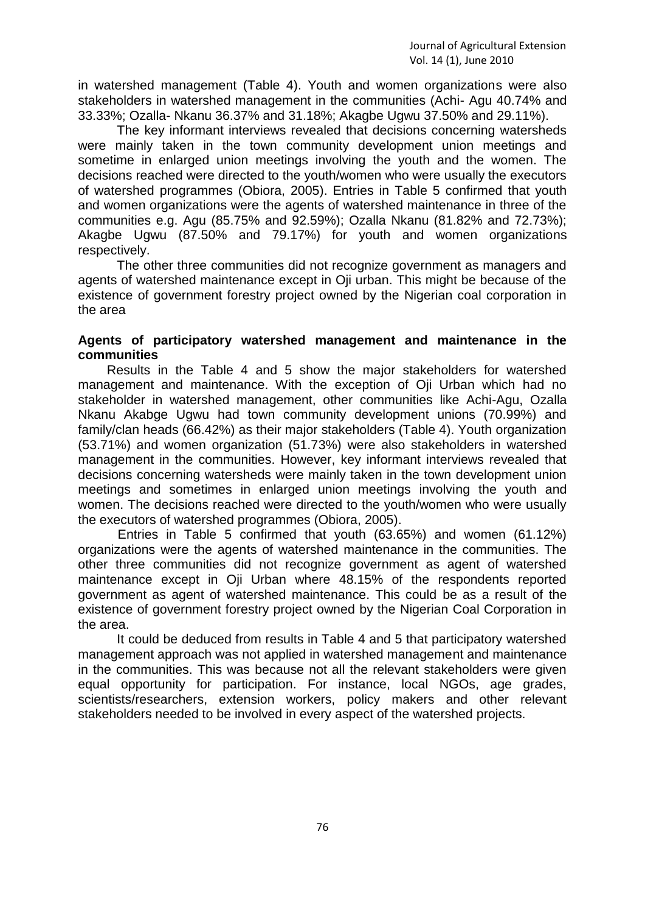in watershed management (Table 4). Youth and women organizations were also stakeholders in watershed management in the communities (Achi- Agu 40.74% and 33.33%; Ozalla- Nkanu 36.37% and 31.18%; Akagbe Ugwu 37.50% and 29.11%).

The key informant interviews revealed that decisions concerning watersheds were mainly taken in the town community development union meetings and sometime in enlarged union meetings involving the youth and the women. The decisions reached were directed to the youth/women who were usually the executors of watershed programmes (Obiora, 2005). Entries in Table 5 confirmed that youth and women organizations were the agents of watershed maintenance in three of the communities e.g. Agu (85.75% and 92.59%); Ozalla Nkanu (81.82% and 72.73%); Akagbe Ugwu (87.50% and 79.17%) for youth and women organizations respectively.

The other three communities did not recognize government as managers and agents of watershed maintenance except in Oji urban. This might be because of the existence of government forestry project owned by the Nigerian coal corporation in the area

## **Agents of participatory watershed management and maintenance in the communities**

 Results in the Table 4 and 5 show the major stakeholders for watershed management and maintenance. With the exception of Oji Urban which had no stakeholder in watershed management, other communities like Achi-Agu, Ozalla Nkanu Akabge Ugwu had town community development unions (70.99%) and family/clan heads (66.42%) as their major stakeholders (Table 4). Youth organization (53.71%) and women organization (51.73%) were also stakeholders in watershed management in the communities. However, key informant interviews revealed that decisions concerning watersheds were mainly taken in the town development union meetings and sometimes in enlarged union meetings involving the youth and women. The decisions reached were directed to the youth/women who were usually the executors of watershed programmes (Obiora, 2005).

 Entries in Table 5 confirmed that youth (63.65%) and women (61.12%) organizations were the agents of watershed maintenance in the communities. The other three communities did not recognize government as agent of watershed maintenance except in Oji Urban where 48.15% of the respondents reported government as agent of watershed maintenance. This could be as a result of the existence of government forestry project owned by the Nigerian Coal Corporation in the area.

It could be deduced from results in Table 4 and 5 that participatory watershed management approach was not applied in watershed management and maintenance in the communities. This was because not all the relevant stakeholders were given equal opportunity for participation. For instance, local NGOs, age grades, scientists/researchers, extension workers, policy makers and other relevant stakeholders needed to be involved in every aspect of the watershed projects.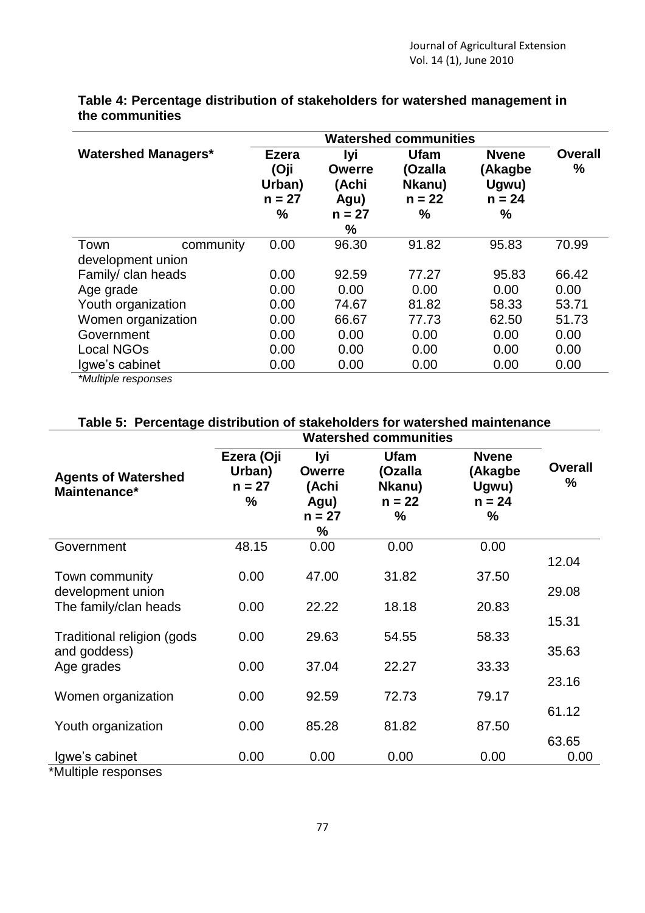|                                                                                                                                                                                                                                                                                                       |           | <b>Watershed communities</b>                    |                                                                    |                                                   |                                                               |                     |  |  |  |
|-------------------------------------------------------------------------------------------------------------------------------------------------------------------------------------------------------------------------------------------------------------------------------------------------------|-----------|-------------------------------------------------|--------------------------------------------------------------------|---------------------------------------------------|---------------------------------------------------------------|---------------------|--|--|--|
| <b>Watershed Managers*</b>                                                                                                                                                                                                                                                                            |           | <b>Ezera</b><br>(Oji<br>Urban)<br>$n = 27$<br>% | Iyi<br><b>Owerre</b><br>(Achi<br>Agu)<br>$n = 27$<br>$\frac{9}{6}$ | <b>Ufam</b><br>(Ozalla<br>Nkanu)<br>$n = 22$<br>% | <b>Nvene</b><br>(Akagbe<br>Ugwu)<br>$n = 24$<br>$\frac{9}{6}$ | <b>Overall</b><br>% |  |  |  |
| Town                                                                                                                                                                                                                                                                                                  | community | 0.00                                            | 96.30                                                              | 91.82                                             | 95.83                                                         | 70.99               |  |  |  |
| development union                                                                                                                                                                                                                                                                                     |           |                                                 |                                                                    |                                                   |                                                               |                     |  |  |  |
| Family/ clan heads                                                                                                                                                                                                                                                                                    |           | 0.00                                            | 92.59                                                              | 77.27                                             | 95.83                                                         | 66.42               |  |  |  |
| Age grade                                                                                                                                                                                                                                                                                             |           | 0.00                                            | 0.00                                                               | 0.00                                              | 0.00                                                          | 0.00                |  |  |  |
| Youth organization                                                                                                                                                                                                                                                                                    |           | 0.00                                            | 74.67                                                              | 81.82                                             | 58.33                                                         | 53.71               |  |  |  |
| Women organization                                                                                                                                                                                                                                                                                    |           | 0.00                                            | 66.67                                                              | 77.73                                             | 62.50                                                         | 51.73               |  |  |  |
| Government                                                                                                                                                                                                                                                                                            |           | 0.00                                            | 0.00                                                               | 0.00                                              | 0.00                                                          | 0.00                |  |  |  |
| <b>Local NGOs</b>                                                                                                                                                                                                                                                                                     |           | 0.00                                            | 0.00                                                               | 0.00                                              | 0.00                                                          | 0.00                |  |  |  |
| Igwe's cabinet                                                                                                                                                                                                                                                                                        |           | 0.00                                            | 0.00                                                               | 0.00                                              | 0.00                                                          | 0.00                |  |  |  |
| $*$ , $\mu$ , $\mu$ , $\mu$ , $\mu$ , $\mu$ , $\mu$ , $\mu$ , $\mu$ , $\mu$ , $\mu$ , $\mu$ , $\mu$ , $\mu$ , $\mu$ , $\mu$ , $\mu$ , $\mu$ , $\mu$ , $\mu$ , $\mu$ , $\mu$ , $\mu$ , $\mu$ , $\mu$ , $\mu$ , $\mu$ , $\mu$ , $\mu$ , $\mu$ , $\mu$ , $\mu$ , $\mu$ , $\mu$ , $\mu$ , $\mu$ , $\mu$ , |           |                                                 |                                                                    |                                                   |                                                               |                     |  |  |  |

# **Table 4: Percentage distribution of stakeholders for watershed management in the communities**

*\*Multiple responses*

# **Table 5: Percentage distribution of stakeholders for watershed maintenance**

|                                            | <b>Watershed communities</b>          |                                                           |                                                   |                                                               |                                 |  |  |
|--------------------------------------------|---------------------------------------|-----------------------------------------------------------|---------------------------------------------------|---------------------------------------------------------------|---------------------------------|--|--|
| <b>Agents of Watershed</b><br>Maintenance* | Ezera (Oji<br>Urban)<br>$n = 27$<br>% | lyi<br><b>Owerre</b><br>(Achi<br>Agu)<br>$n = 27$<br>$\%$ | <b>Ufam</b><br>(Ozalla<br>Nkanu)<br>$n = 22$<br>% | <b>Nvene</b><br>(Akagbe<br>Ugwu)<br>$n = 24$<br>$\frac{0}{0}$ | <b>Overall</b><br>$\frac{0}{0}$ |  |  |
| Government                                 | 48.15                                 | 0.00                                                      | 0.00                                              | 0.00                                                          | 12.04                           |  |  |
| Town community<br>development union        | 0.00                                  | 47.00                                                     | 31.82                                             | 37.50                                                         | 29.08                           |  |  |
| The family/clan heads                      | 0.00                                  | 22.22                                                     | 18.18                                             | 20.83                                                         | 15.31                           |  |  |
| Traditional religion (gods<br>and goddess) | 0.00                                  | 29.63                                                     | 54.55                                             | 58.33                                                         | 35.63                           |  |  |
| Age grades                                 | 0.00                                  | 37.04                                                     | 22.27                                             | 33.33                                                         |                                 |  |  |
| Women organization                         | 0.00                                  | 92.59                                                     | 72.73                                             | 79.17                                                         | 23.16                           |  |  |
| Youth organization                         | 0.00                                  | 85.28                                                     | 81.82                                             | 87.50                                                         | 61.12                           |  |  |
| Igwe's cabinet<br>$*$ Multiple reepenses   | 0.00                                  | 0.00                                                      | 0.00                                              | 0.00                                                          | 63.65<br>0.00                   |  |  |

\*Multiple responses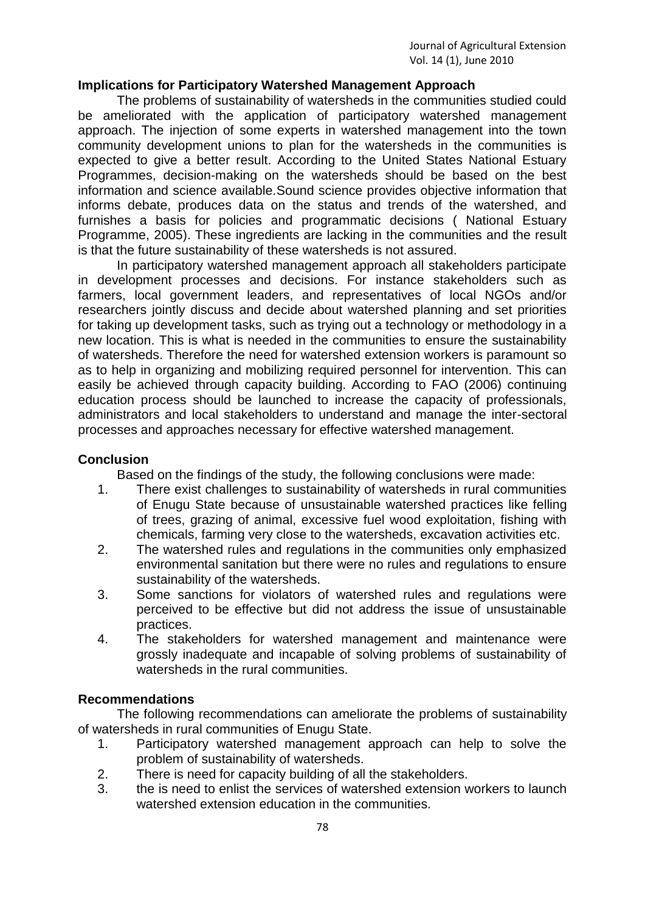## **Implications for Participatory Watershed Management Approach**

The problems of sustainability of watersheds in the communities studied could be ameliorated with the application of participatory watershed management approach. The injection of some experts in watershed management into the town community development unions to plan for the watersheds in the communities is expected to give a better result. According to the United States National Estuary Programmes, decision-making on the watersheds should be based on the best information and science available.Sound science provides objective information that informs debate, produces data on the status and trends of the watershed, and furnishes a basis for policies and programmatic decisions ( National Estuary Programme, 2005). These ingredients are lacking in the communities and the result is that the future sustainability of these watersheds is not assured.

In participatory watershed management approach all stakeholders participate in development processes and decisions. For instance stakeholders such as farmers, local government leaders, and representatives of local NGOs and/or researchers jointly discuss and decide about watershed planning and set priorities for taking up development tasks, such as trying out a technology or methodology in a new location. This is what is needed in the communities to ensure the sustainability of watersheds. Therefore the need for watershed extension workers is paramount so as to help in organizing and mobilizing required personnel for intervention. This can easily be achieved through capacity building. According to FAO (2006) continuing education process should be launched to increase the capacity of professionals, administrators and local stakeholders to understand and manage the inter-sectoral processes and approaches necessary for effective watershed management.

## **Conclusion**

Based on the findings of the study, the following conclusions were made:

- 1. There exist challenges to sustainability of watersheds in rural communities of Enugu State because of unsustainable watershed practices like felling of trees, grazing of animal, excessive fuel wood exploitation, fishing with chemicals, farming very close to the watersheds, excavation activities etc.
- 2. The watershed rules and regulations in the communities only emphasized environmental sanitation but there were no rules and regulations to ensure sustainability of the watersheds.
- 3. Some sanctions for violators of watershed rules and regulations were perceived to be effective but did not address the issue of unsustainable practices.
- 4. The stakeholders for watershed management and maintenance were grossly inadequate and incapable of solving problems of sustainability of watersheds in the rural communities.

## **Recommendations**

The following recommendations can ameliorate the problems of sustainability of watersheds in rural communities of Enugu State.

- 1. Participatory watershed management approach can help to solve the problem of sustainability of watersheds.
- 2. There is need for capacity building of all the stakeholders.
- 3. the is need to enlist the services of watershed extension workers to launch watershed extension education in the communities.